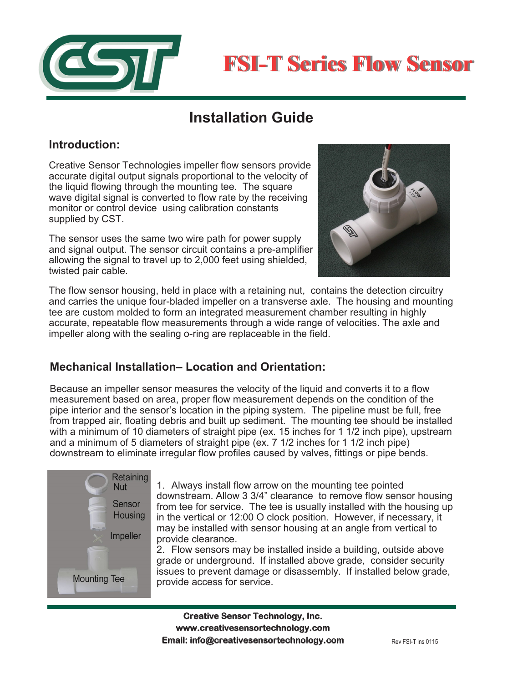



# **Installation Guide**

### **Introduction:**

Creative Sensor Technologies impeller flow sensors provide accurate digital output signals proportional to the velocity of the liquid flowing through the mounting tee. The square wave digital signal is converted to flow rate by the receiving monitor or control device using calibration constants supplied by CST.

The sensor uses the same two wire path for power supply and signal output. The sensor circuit contains a pre-amplifier allowing the signal to travel up to 2,000 feet using shielded, twisted pair cable.



The flow sensor housing, held in place with a retaining nut, contains the detection circuitry and carries the unique four-bladed impeller on a transverse axle. The housing and mounting tee are custom molded to form an integrated measurement chamber resulting in highly accurate, repeatable flow measurements through a wide range of velocities. The axle and impeller along with the sealing o-ring are replaceable in the field.

# **Mechanical Installation– Location and Orientation:**

Because an impeller sensor measures the velocity of the liquid and converts it to a flow measurement based on area, proper flow measurement depends on the condition of the pipe interior and the sensor's location in the piping system. The pipeline must be full, free from trapped air, floating debris and built up sediment. The mounting tee should be installed with a minimum of 10 diameters of straight pipe (ex. 15 inches for 1 1/2 inch pipe), upstream and a minimum of 5 diameters of straight pipe (ex. 7 1/2 inches for 1 1/2 inch pipe) downstream to eliminate irregular flow profiles caused by valves, fittings or pipe bends.



1. Always install flow arrow on the mounting tee pointed downstream. Allow 3 3/4" clearance to remove flow sensor housing from tee for service. The tee is usually installed with the housing up in the vertical or 12:00 O clock position. However, if necessary, it may be installed with sensor housing at an angle from vertical to provide clearance.

2. Flow sensors may be installed inside a building, outside above grade or underground. If installed above grade, consider security issues to prevent damage or disassembly. If installed below grade, provide access for service.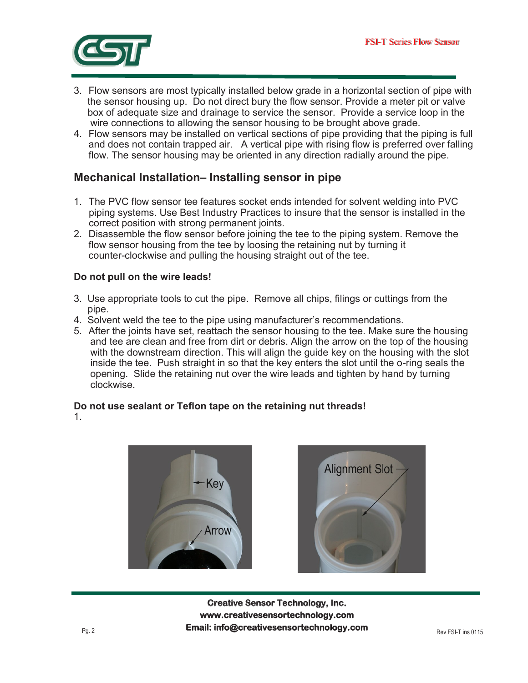

- 3. Flow sensors are most typically installed below grade in a horizontal section of pipe with the sensor housing up. Do not direct bury the flow sensor. Provide a meter pit or valve box of adequate size and drainage to service the sensor. Provide a service loop in the wire connections to allowing the sensor housing to be brought above grade.
- 4. Flow sensors may be installed on vertical sections of pipe providing that the piping is full and does not contain trapped air. A vertical pipe with rising flow is preferred over falling flow. The sensor housing may be oriented in any direction radially around the pipe.

### **Mechanical Installation– Installing sensor in pipe**

- 1. The PVC flow sensor tee features socket ends intended for solvent welding into PVC piping systems. Use Best Industry Practices to insure that the sensor is installed in the correct position with strong permanent joints.
- 2. Disassemble the flow sensor before joining the tee to the piping system. Remove the flow sensor housing from the tee by loosing the retaining nut by turning it counter-clockwise and pulling the housing straight out of the tee.

#### **Do not pull on the wire leads!**

- 3. Use appropriate tools to cut the pipe. Remove all chips, filings or cuttings from the pipe.
- 4. Solvent weld the tee to the pipe using manufacturer's recommendations.
- 5. After the joints have set, reattach the sensor housing to the tee. Make sure the housing and tee are clean and free from dirt or debris. Align the arrow on the top of the housing with the downstream direction. This will align the guide key on the housing with the slot inside the tee. Push straight in so that the key enters the slot until the o-ring seals the opening. Slide the retaining nut over the wire leads and tighten by hand by turning clockwise.

#### **Do not use sealant or Teflon tape on the retaining nut threads!**

1.





**Creative Sensor Technology, Inc. Creative Sensor Technology, Inc. www.creativesensortechnology.com PO Box 426, Rochester, MA 02770 Ph: 508-763-8100 www.creativesensortechnology.com Email: info@creativesensortechnology.com** Rev FSI-T ins 0115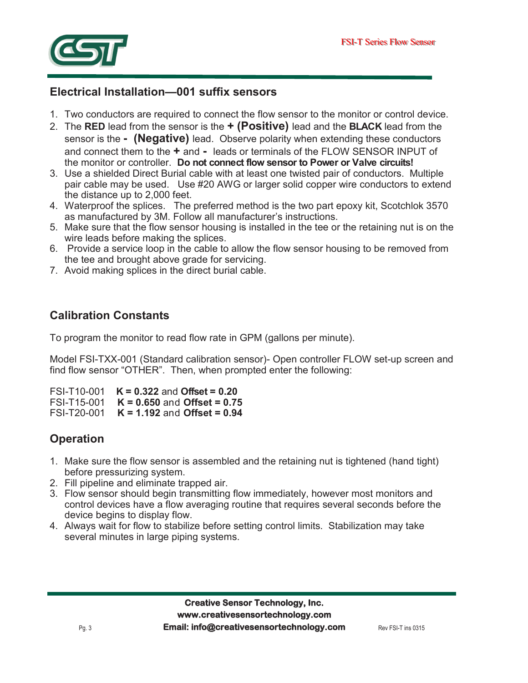

## **Electrical Installation—001 suffix sensors**

- 1. Two conductors are required to connect the flow sensor to the monitor or control device.
- 2. The **RED** lead from the sensor is the **+ (Positive)** lead and the **BLACK** lead from the sensor is the **- (Negative)** lead. Observe polarity when extending these conductors and connect them to the **+** and **-** leads or terminals of the FLOW SENSOR INPUT of the monitor or controller. **Do not connect flow sensor to Power or Valve circuits!**
- 3. Use a shielded Direct Burial cable with at least one twisted pair of conductors. Multiple pair cable may be used. Use #20 AWG or larger solid copper wire conductors to extend the distance up to 2,000 feet.
- 4. Waterproof the splices. The preferred method is the two part epoxy kit, Scotchlok 3570 as manufactured by 3M. Follow all manufacturer's instructions.
- 5. Make sure that the flow sensor housing is installed in the tee or the retaining nut is on the wire leads before making the splices.
- 6. Provide a service loop in the cable to allow the flow sensor housing to be removed from the tee and brought above grade for servicing.
- 7. Avoid making splices in the direct burial cable.

# **Calibration Constants**

To program the monitor to read flow rate in GPM (gallons per minute).

Model FSI-TXX-001 (Standard calibration sensor)- Open controller FLOW set-up screen and find flow sensor "OTHER". Then, when prompted enter the following:

FSI-T10-001 **K = 0.322** and **Offset = 0.20**

FSI-T15-001 **K = 0.650** and **Offset = 0.75** FSI-T20-001 **K = 1.192** and **Offset = 0.94**

# **Operation**

- 1. Make sure the flow sensor is assembled and the retaining nut is tightened (hand tight) before pressurizing system.
- 2. Fill pipeline and eliminate trapped air.
- 3. Flow sensor should begin transmitting flow immediately, however most monitors and control devices have a flow averaging routine that requires several seconds before the device begins to display flow.
- 4. Always wait for flow to stabilize before setting control limits. Stabilization may take several minutes in large piping systems.